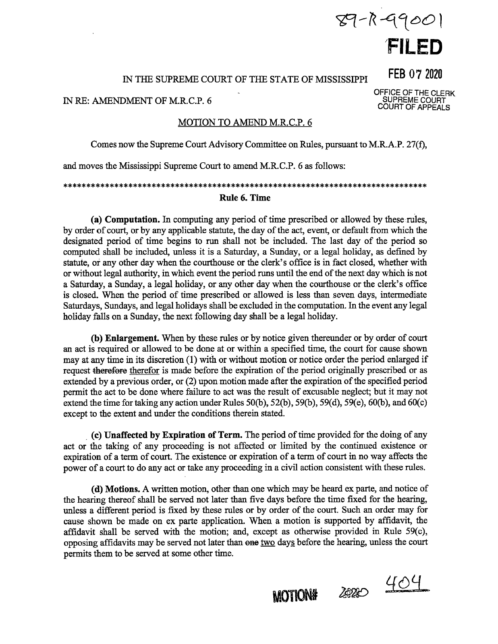# $89 - R - 9900$ **1 FILED**

#### IN THE SUPREME COURT OF THE STATE OF MISSISSIPPI

IN RE: AMENDMENT OF M.R.C.P. 6

### MOTION TO AMEND M.R.C.P. 6

Comes now the Supreme Court Advisory Committee on Rules, pursuant to M.R.A.P. 27(f),

and moves the Mississippi Supreme Court to amend M.R.C.P. 6 as follows:

\*\*\*\*\*\*\*\*\*\*\*\*\*\*\*\*\*\*\*\*\*\*\*\*\*\*\*\*\*\*\*\*\*\*\*\*\*\*\*\*\*\*\*\*\*\*\*\*\*\*\*\*\*\*\*\*\*\*\*\*\*\*\*\*\*\*\*\*\*\*\*\*\*\*\*\*\*\* **Rule 6. Time** 

**(a) Computation.** In computing any period of time prescribed or allowed by these rules, by order of court, or by any applicable statute, the day of the act, event, or default from which the designated period of time begins to run shall not be included. The last day of the period so computed shall be included, unless it is a Saturday, a Sunday, or a legal holiday, as defined by statute, or any other day when the courthouse or the clerk's office is in fact closed, whether with or without legal authority, in which event the period runs until the end of the next day which is not a Saturday, a Sunday, a legal holiday, or any other day when the courthouse or the clerk's office is closed. When the period of time prescribed or allowed is less than seven days, intermediate Saturdays, Sundays, and legal holidays shall be excluded in the computation. In the event any legal holiday falls on a Sunday, the next following day shall be a legal holiday.

**(b) Enlargement.** When by these rules or by notice given thereunder or by order of court an act is required or allowed to be done at or within a specified time, the court for cause shown may at any time in its discretion (1) with or without motion or notice order the period enlarged if request therefore therefor is made before the expiration of the period originally prescribed or as extended by a previous order, or (2) upon motion made after the expiration of the specified period permit the act to be done where failure to act was the result of excusable neglect; but it may not extend the time for taking any action under Rules  $50(b)$ ,  $52(b)$ ,  $59(b)$ ,  $59(d)$ ,  $59(e)$ ,  $60(b)$ , and  $60(c)$ except to the extent and under the conditions therein stated.

. **(c) Unaffected by Expiration of Term.** The period of time provided for the doing of any act or the taking of any proceeding is not affected or limited by the continued existence or expiration of a term of court. The existence or expiration of a term of court in no way affects the power of a court to do any act or take any proceeding in a civil action consistent with these rules.

( **d) Motions.** A written motion, other than one which may be heard ex parte, and notice of the hearing thereof shall be served not later than five days before the time fixed for the hearing, unless a different period is fixed by these rules or by order of the court. Such an order may for cause shown be made on ex parte application. When a motion is supported by affidavit, the affidavit shall be served with the motion; and, except as otherwise provided in Rule 59(c), opposing affidavits may be served not later than one two days before the hearing, unless the court permits them to be served at some other time.

**FEB** 07 <sup>2020</sup> OFFICE OF THE CLERK

SUPREME COURT COURT OF APPEALS

**MOTION#** 

2020 404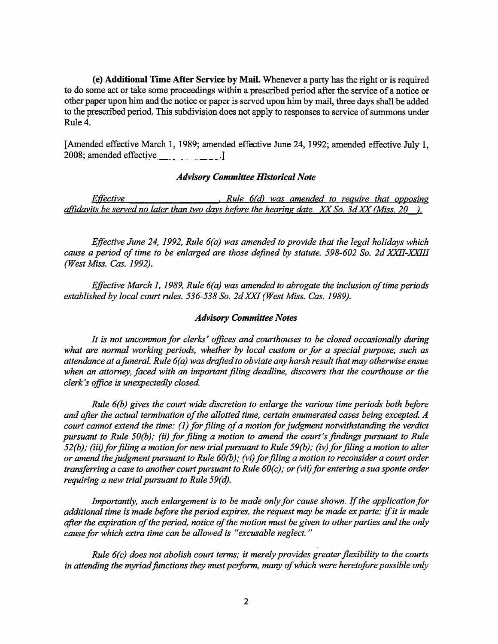**(e) Additional Time Mter Service by Mail.** Whenever a party has the right or is required to do some act or take some proceedings within a prescribed period after the service of a notice or other paper upon him and the notice or paper is served upon him by mail, three days shall be added to the prescribed period. This subdivision does not apply to responses to service of summons under Rule 4.

[Amended effective March 1, 1989; amended effective June 24, 1992; amended effective July I, 2008; amended effective .]

# *Advisory Committee Historical Note*

*Effective Rule 6(d)* was amended to require that opposing *affldavits be served no later than two days before the hearing date. XX So. 3d XX (Miss. 20 ).* 

*Effective June 24, 1992, Rule 6(a) was amended to provide that the legal holidays which cause a period of time to be enlarged are those defined by statute. 598-602 So. 2d XXII-XXIII (West Miss. Cas. 1992).* 

*Effective March 1, 1989, Rule 6(a) was amended to abrogate the inclusion of time periods established by local court rules. 536-538 So. 2dXXI (West Miss. Cas. 1989).* 

#### *Advisory Committee Notes*

*It is not uncommon for clerks' offices and courthouses to be closed occasionally during what are normal working periods, whether by local custom or for a special purpose, such as attendance at a funeral. Rule 6(a) was drafted to obviate any harsh result that may otherwise ensue when an attorney, faced with an important filing deadline, discovers that the courthouse or the clerk's office is unexpectedly closed.* 

*Rule 6(b) gives the court wide discretion to enlarge the various time periods both before and after the actual termination of the allotted time, certain enumerated cases being excepted. A court cannot extend the time: (1) for filing of a motion for judgment notwithstanding the verdict pursuant to Rule 50(b); (ii) for filing a motion to amend the court's findings pursuant to Rule 52(b); (iii) for filing a motion for new trial pursuant to Rule 59(b); (iv) for filing a motion to alter or amend the judgment pursuant to Rule 60(b); (vi) for filing a motion to reconsider a court order transferring a case to another court pursuant to Rule 60(c); or (vii) for entering a sua sponte order requiring a new trial pursuant to Rule 59(d).* 

*Importantly, such enlargement is to be made only for cause shown. If the application for additional time is made before the period expires, the request may be made ex parte; if it is made after the expiration of the period, notice of the motion must be given to other parties and the only cause for which extra time can be allowed is "excusable neglect."* 

*Rule 6(c) does not abolish court terms; it merely provides greater flexibility to the courts* in attending the myriad functions they must perform, many of which were heretofore possible only